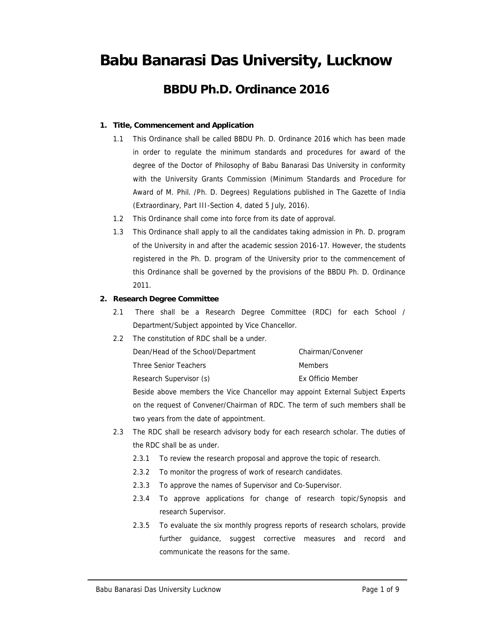## **Babu Banarasi Das University, Lucknow**

## **BBDU Ph.D. Ordinance 2016**

- **1. Title, Commencement and Application**
	- 1.1 This Ordinance shall be called BBDU Ph. D. Ordinance 2016 which has been made in order to regulate the minimum standards and procedures for award of the degree of the Doctor of Philosophy of Babu Banarasi Das University in conformity with the University Grants Commission (Minimum Standards and Procedure for Award of M. Phil. /Ph. D. Degrees) Regulations published in The Gazette of India (Extraordinary, Part III-Section 4, dated 5 July, 2016).
	- 1.2 This Ordinance shall come into force from its date of approval.
	- 1.3 This Ordinance shall apply to all the candidates taking admission in Ph. D. program of the University in and after the academic session 2016-17. However, the students registered in the Ph. D. program of the University prior to the commencement of this Ordinance shall be governed by the provisions of the BBDU Ph. D. Ordinance 2011.
- **2. Research Degree Committee**
	- 2.1 There shall be a Research Degree Committee (RDC) for each School / Department/Subject appointed by Vice Chancellor.
	- 2.2 The constitution of RDC shall be a under.

| Dean/Head of the School/Department | Chairman/Convener |
|------------------------------------|-------------------|
| Three Senior Teachers              | Members           |
| Research Supervisor (s)            | Ex Officio Member |

Beside above members the Vice Chancellor may appoint External Subject Experts on the request of Convener/Chairman of RDC. The term of such members shall be two years from the date of appointment.

- 2.3 The RDC shall be research advisory body for each research scholar. The duties of the RDC shall be as under.
	- 2.3.1 To review the research proposal and approve the topic of research.
	- 2.3.2 To monitor the progress of work of research candidates.
	- 2.3.3 To approve the names of Supervisor and Co-Supervisor.
	- 2.3.4 To approve applications for change of research topic/Synopsis and research Supervisor.
	- 2.3.5 To evaluate the six monthly progress reports of research scholars, provide further guidance, suggest corrective measures and record and communicate the reasons for the same.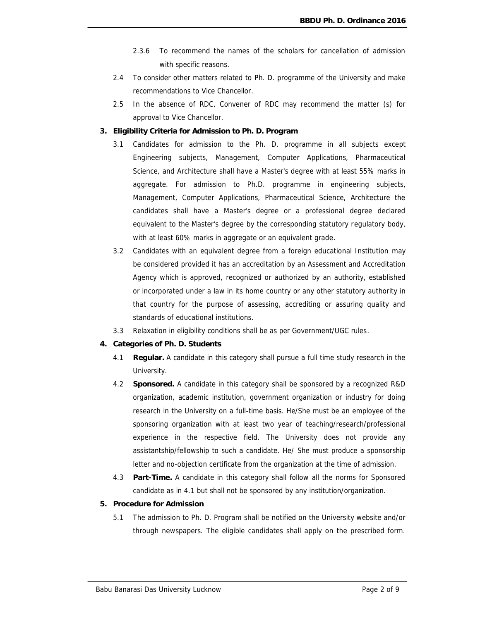- 2.3.6 To recommend the names of the scholars for cancellation of admission with specific reasons.
- 2.4 To consider other matters related to Ph. D. programme of the University and make recommendations to Vice Chancellor.
- 2.5 In the absence of RDC, Convener of RDC may recommend the matter (s) for approval to Vice Chancellor.
- **3. Eligibility Criteria for Admission to Ph. D. Program**
	- 3.1 Candidates for admission to the Ph. D. programme in all subjects except Engineering subjects, Management, Computer Applications, Pharmaceutical Science, and Architecture shall have a Master's degree with at least 55% marks in aggregate. For admission to Ph.D. programme in engineering subjects, Management, Computer Applications, Pharmaceutical Science, Architecture the candidates shall have a Master's degree or a professional degree declared equivalent to the Master's degree by the corresponding statutory regulatory body, with at least 60% marks in aggregate or an equivalent grade.
	- 3.2 Candidates with an equivalent degree from a foreign educational Institution may be considered provided it has an accreditation by an Assessment and Accreditation Agency which is approved, recognized or authorized by an authority, established or incorporated under a law in its home country or any other statutory authority in that country for the purpose of assessing, accrediting or assuring quality and standards of educational institutions.
	- 3.3 Relaxation in eligibility conditions shall be as per Government/UGC rules.
- **4. Categories of Ph. D. Students**
	- 4.1 **Regular.** A candidate in this category shall pursue a full time study research in the University.
	- 4.2 **Sponsored.** A candidate in this category shall be sponsored by a recognized R&D organization, academic institution, government organization or industry for doing research in the University on a full-time basis. He/She must be an employee of the sponsoring organization with at least two year of teaching/research/professional experience in the respective field. The University does not provide any assistantship/fellowship to such a candidate. He/ She must produce a sponsorship letter and no-objection certificate from the organization at the time of admission.
	- 4.3 **Part-Time.** A candidate in this category shall follow all the norms for Sponsored candidate as in 4.1 but shall not be sponsored by any institution/organization.
- **5. Procedure for Admission**
	- 5.1 The admission to Ph. D. Program shall be notified on the University website and/or through newspapers. The eligible candidates shall apply on the prescribed form.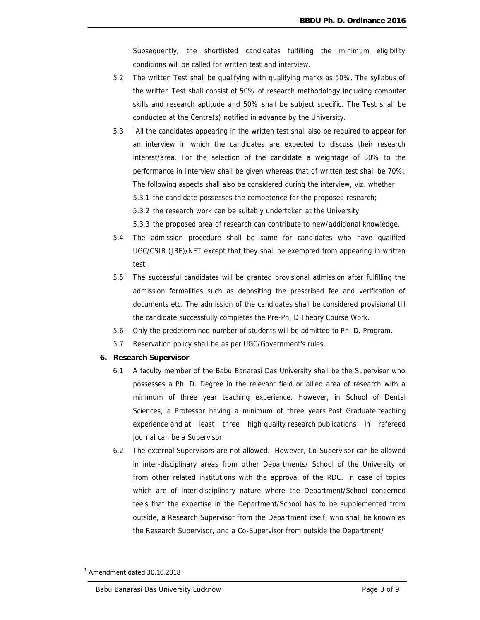Subsequently, the shortlisted candidates fulfilling the minimum eligibility conditions will be called for written test and interview.

- 5.2 The written Test shall be qualifying with qualifying marks as 50%. The syllabus of the written Test shall consist of 50% of research methodology including computer skills and research aptitude and 50% shall be subject specific. The Test shall be conducted at the Centre(s) notified in advance by the University.
- 5.3 <sup>1</sup>All the candidates appearing in the written test shall also be required to appear for an interview in which the candidates are expected to discuss their research interest/area. For the selection of the candidate a weightage of 30% to the performance in Interview shall be given whereas that of written test shall be 70%. The following aspects shall also be considered during the interview, viz. whether 5.3.1 the candidate possesses the competence for the proposed research;
	- 5.3.2 the research work can be suitably undertaken at the University;
	- 5.3.3 the proposed area of research can contribute to new/additional knowledge.
- 5.4 The admission procedure shall be same for candidates who have qualified UGC/CSIR (JRF)/NET except that they shall be exempted from appearing in written test.
- 5.5 The successful candidates will be granted provisional admission after fulfilling the admission formalities such as depositing the prescribed fee and verification of documents etc. The admission of the candidates shall be considered provisional till the candidate successfully completes the Pre-Ph. D Theory Course Work.
- 5.6 Only the predetermined number of students will be admitted to Ph. D. Program.
- 5.7 Reservation policy shall be as per UGC/Government's rules.
- **6. Research Supervisor**
	- 6.1 A faculty member of the Babu Banarasi Das University shall be the Supervisor who possesses a Ph. D. Degree in the relevant field or allied area of research with a minimum of three year teaching experience. However, in School of Dental Sciences, a Professor having a minimum of three years Post Graduate teaching experience and at least three high quality research publications in refereed journal can be a Supervisor.
	- 6.2 The external Supervisors are not allowed. However, Co-Supervisor can be allowed in inter-disciplinary areas from other Departments/ School of the University or from other related institutions with the approval of the RDC. In case of topics which are of inter-disciplinary nature where the Department/School concerned feels that the expertise in the Department/School has to be supplemented from outside, a Research Supervisor from the Department itself, who shall be known as the Research Supervisor, and a Co-Supervisor from outside the Department/

**<sup>1</sup>** Amendment dated 30.10.2018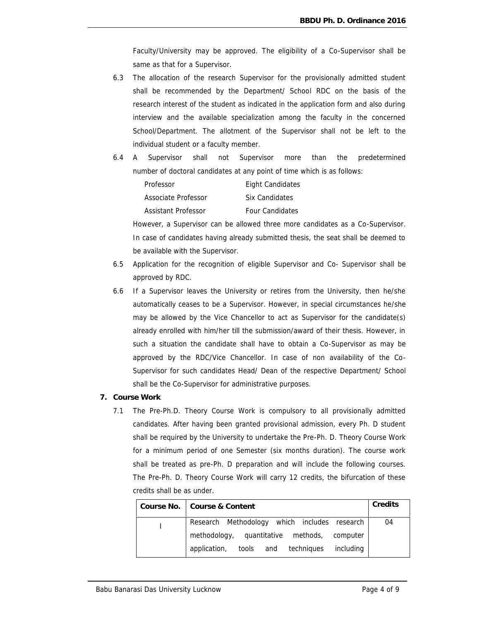Faculty/University may be approved. The eligibility of a Co-Supervisor shall be same as that for a Supervisor.

- 6.3 The allocation of the research Supervisor for the provisionally admitted student shall be recommended by the Department/ School RDC on the basis of the research interest of the student as indicated in the application form and also during interview and the available specialization among the faculty in the concerned School/Department. The allotment of the Supervisor shall not be left to the individual student or a faculty member.
- 6.4 A Supervisor shall not Supervisor more than the predetermined number of doctoral candidates at any point of time which is as follows:

| Professor           | Eight Candidates       |
|---------------------|------------------------|
| Associate Professor | Six Candidates         |
| Assistant Professor | <b>Four Candidates</b> |

However, a Supervisor can be allowed three more candidates as a Co-Supervisor. In case of candidates having already submitted thesis, the seat shall be deemed to be available with the Supervisor.

- 6.5 Application for the recognition of eligible Supervisor and Co- Supervisor shall be approved by RDC.
- 6.6 If a Supervisor leaves the University or retires from the University, then he/she automatically ceases to be a Supervisor. However, in special circumstances he/she may be allowed by the Vice Chancellor to act as Supervisor for the candidate(s) already enrolled with him/her till the submission/award of their thesis. However, in such a situation the candidate shall have to obtain a Co-Supervisor as may be approved by the RDC/Vice Chancellor. In case of non availability of the Co- Supervisor for such candidates Head/ Dean of the respective Department/ School shall be the Co-Supervisor for administrative purposes.
- **7. Course Work**
	- 7.1 The Pre-Ph.D. Theory Course Work is compulsory to all provisionally admitted candidates. After having been granted provisional admission, every Ph. D student shall be required by the University to undertake the Pre-Ph. D. Theory Course Work for a minimum period of one Semester (six months duration). The course work shall be treated as pre-Ph. D preparation and will include the following courses. The Pre-Ph. D. Theory Course Work will carry 12 credits, the bifurcation of these credits shall be as under.

| Course No.   Course & Content                     | Credits |  |
|---------------------------------------------------|---------|--|
| Research Methodology which includes research      | 04      |  |
| methodology, quantitative methods, computer       |         |  |
| tools and techniques<br>including<br>application, |         |  |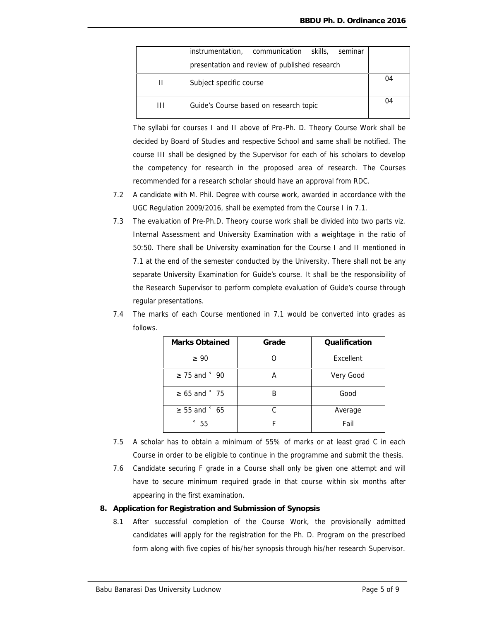|   | instrumentation, communication skills,<br>seminar |    |
|---|---------------------------------------------------|----|
|   | presentation and review of published research     |    |
| H | Subject specific course                           | 04 |
| Ш | Guide's Course based on research topic            | 04 |

The syllabi for courses I and II above of Pre-Ph. D. Theory Course Work shall be decided by Board of Studies and respective School and same shall be notified. The course III shall be designed by the Supervisor for each of his scholars to develop the competency for research in the proposed area of research. The Courses recommended for a research scholar should have an approval from RDC.

- 7.2 A candidate with M. Phil. Degree with course work, awarded in accordance with the UGC Regulation 2009/2016, shall be exempted from the Course I in 7.1.
- 7.3 The evaluation of Pre-Ph.D. Theory course work shall be divided into two parts viz. Internal Assessment and University Examination with a weightage in the ratio of 50:50. There shall be University examination for the Course I and II mentioned in 7.1 at the end of the semester conducted by the University. There shall not be any separate University Examination for Guide's course. It shall be the responsibility of the Research Supervisor to perform complete evaluation of Guide's course through regular presentations.
- 7.4 The marks of each Course mentioned in 7.1 would be converted into grades as follows.

| Marks Obtained | Grade | Qualification |
|----------------|-------|---------------|
| 90             |       | Excellent     |
| 75 and<br>90   | A     | Very Good     |
| 65 and<br>75   | В     | Good          |
| 65<br>55 and   |       | Average       |
| 55             |       | Fail          |

- 7.5 A scholar has to obtain a minimum of 55% of marks or at least grad C in each Course in order to be eligible to continue in the programme and submit the thesis.
- 7.6 Candidate securing F grade in a Course shall only be given one attempt and will have to secure minimum required grade in that course within six months after appearing in the first examination.
- **8. Application for Registration and Submission of Synopsis**
	- 8.1 After successful completion of the Course Work, the provisionally admitted candidates will apply for the registration for the Ph. D. Program on the prescribed form along with five copies of his/her synopsis through his/her research Supervisor.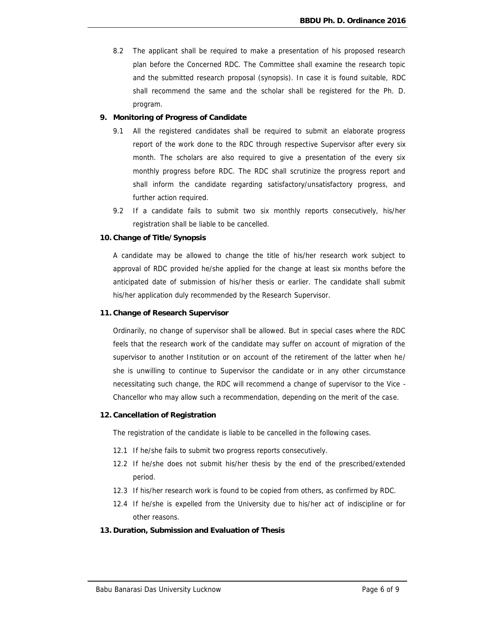- 8.2 The applicant shall be required to make a presentation of his proposed research plan before the Concerned RDC. The Committee shall examine the research topic and the submitted research proposal (synopsis). In case it is found suitable, RDC shall recommend the same and the scholar shall be registered for the Ph. D. program.
- **9. Monitoring of Progress of Candidate**
	- 9.1 All the registered candidates shall be required to submit an elaborate progress report of the work done to the RDC through respective Supervisor after every six month. The scholars are also required to give a presentation of the every six monthly progress before RDC. The RDC shall scrutinize the progress report and shall inform the candidate regarding satisfactory/unsatisfactory progress, and further action required.
	- 9.2 If a candidate fails to submit two six monthly reports consecutively, his/her registration shall be liable to be cancelled.
- **10. Change of Title/Synopsis**

A candidate may be allowed to change the title of his/her research work subject to approval of RDC provided he/she applied for the change at least six months before the anticipated date of submission of his/her thesis or earlier. The candidate shall submit his/her application duly recommended by the Research Supervisor.

**11. Change of Research Supervisor**

Ordinarily, no change of supervisor shall be allowed. But in special cases where the RDC feels that the research work of the candidate may suffer on account of migration of the supervisor to another Institution or on account of the retirement of the latter when he/ she is unwilling to continue to Supervisor the candidate or in any other circumstance necessitating such change, the RDC will recommend a change of supervisor to the Vice - Chancellor who may allow such a recommendation, depending on the merit of the case.

**12. Cancellation of Registration**

The registration of the candidate is liable to be cancelled in the following cases.

- 12.1 If he/she fails to submit two progress reports consecutively.
- 12.2 If he/she does not submit his/her thesis by the end of the prescribed/extended period.
- 12.3 If his/her research work is found to be copied from others, as confirmed by RDC.
- 12.4 If he/she is expelled from the University due to his/her act of indiscipline or for other reasons.
- **13. Duration, Submission and Evaluation of Thesis**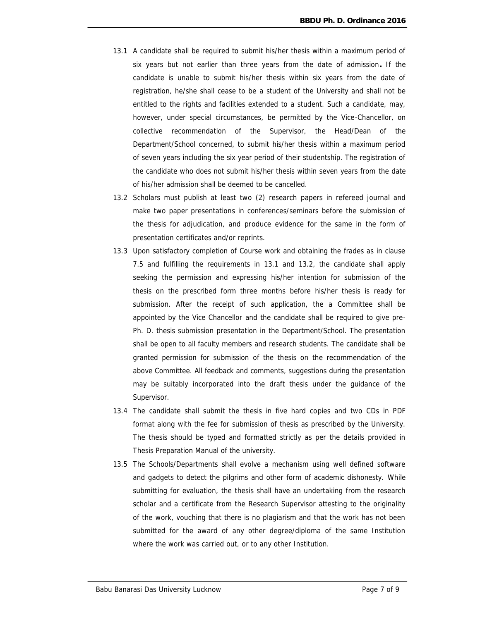- 13.1 A candidate shall be required to submit his/her thesis within a maximum period of six years but not earlier than three years from the date of admission**.** If the candidate is unable to submit his/her thesis within six years from the date of registration, he/she shall cease to be a student of the University and shall not be entitled to the rights and facilities extended to a student. Such a candidate, may, however, under special circumstances, be permitted by the Vice-Chancellor, on collective recommendation of the Supervisor, the Head/Dean of the Department/School concerned, to submit his/her thesis within a maximum period of seven years including the six year period of their studentship. The registration of the candidate who does not submit his/her thesis within seven years from the date of his/her admission shall be deemed to be cancelled.
- 13.2 Scholars must publish at least two (2) research papers in refereed journal and make two paper presentations in conferences/seminars before the submission of the thesis for adjudication, and produce evidence for the same in the form of presentation certificates and/or reprints.
- 13.3 Upon satisfactory completion of Course work and obtaining the frades as in clause 7.5 and fulfilling the requirements in 13.1 and 13.2, the candidate shall apply seeking the permission and expressing his/her intention for submission of the thesis on the prescribed form three months before his/her thesis is ready for submission. After the receipt of such application, the a Committee shall be appointed by the Vice Chancellor and the candidate shall be required to give pre- Ph. D. thesis submission presentation in the Department/School. The presentation shall be open to all faculty members and research students. The candidate shall be granted permission for submission of the thesis on the recommendation of the above Committee. All feedback and comments, suggestions during the presentation may be suitably incorporated into the draft thesis under the guidance of the Supervisor.
- 13.4 The candidate shall submit the thesis in five hard copies and two CDs in PDF format along with the fee for submission of thesis as prescribed by the University. The thesis should be typed and formatted strictly as per the details provided in Thesis Preparation Manual of the university.
- 13.5 The Schools/Departments shall evolve a mechanism using well defined software and gadgets to detect the pilgrims and other form of academic dishonesty. While submitting for evaluation, the thesis shall have an undertaking from the research scholar and a certificate from the Research Supervisor attesting to the originality of the work, vouching that there is no plagiarism and that the work has not been submitted for the award of any other degree/diploma of the same Institution where the work was carried out, or to any other Institution.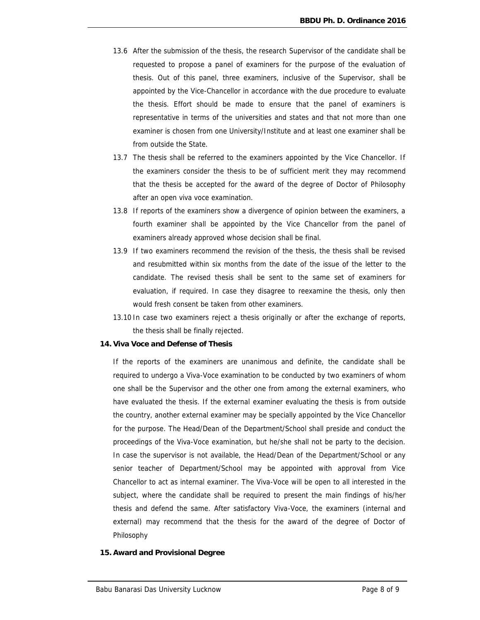- 13.6 After the submission of the thesis, the research Supervisor of the candidate shall be requested to propose a panel of examiners for the purpose of the evaluation of thesis. Out of this panel, three examiners, inclusive of the Supervisor, shall be appointed by the Vice-Chancellor in accordance with the due procedure to evaluate the thesis. Effort should be made to ensure that the panel of examiners is representative in terms of the universities and states and that not more than one examiner is chosen from one University/Institute and at least one examiner shall be from outside the State.
- 13.7 The thesis shall be referred to the examiners appointed by the Vice Chancellor. If the examiners consider the thesis to be of sufficient merit they may recommend that the thesis be accepted for the award of the degree of Doctor of Philosophy after an open viva voce examination.
- 13.8 If reports of the examiners show a divergence of opinion between the examiners, a fourth examiner shall be appointed by the Vice Chancellor from the panel of examiners already approved whose decision shall be final.
- 13.9 If two examiners recommend the revision of the thesis, the thesis shall be revised and resubmitted within six months from the date of the issue of the letter to the candidate. The revised thesis shall be sent to the same set of examiners for evaluation, if required. In case they disagree to reexamine the thesis, only then would fresh consent be taken from other examiners.
- 13.10 In case two examiners reject a thesis originally or after the exchange of reports, the thesis shall be finally rejected.
- **14. Viva Voce and Defense of Thesis**

If the reports of the examiners are unanimous and definite, the candidate shall be required to undergo a Viva-Voce examination to be conducted by two examiners of whom one shall be the Supervisor and the other one from among the external examiners, who have evaluated the thesis. If the external examiner evaluating the thesis is from outside the country, another external examiner may be specially appointed by the Vice Chancellor for the purpose. The Head/Dean of the Department/School shall preside and conduct the proceedings of the Viva-Voce examination, but he/she shall not be party to the decision. In case the supervisor is not available, the Head/Dean of the Department/School or any senior teacher of Department/School may be appointed with approval from Vice Chancellor to act as internal examiner. The Viva-Voce will be open to all interested in the subject, where the candidate shall be required to present the main findings of his/her thesis and defend the same. After satisfactory Viva-Voce, the examiners (internal and external) may recommend that the thesis for the award of the degree of Doctor of Philosophy

**15. Award and Provisional Degree**